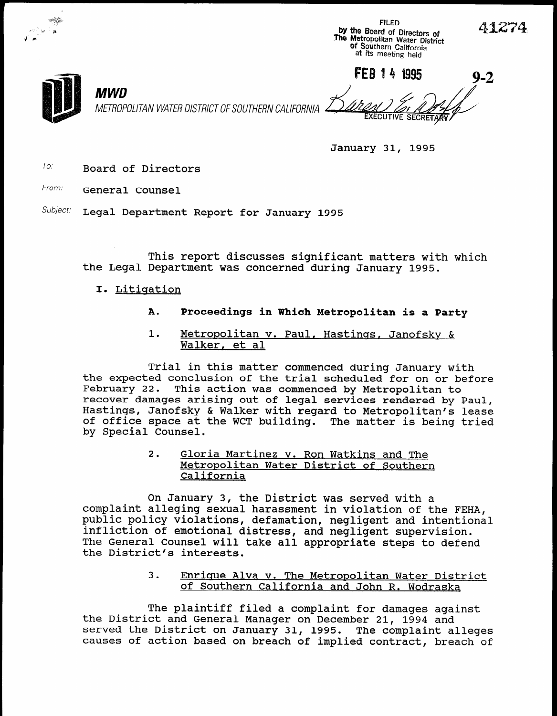



-&&

 $-$  -  $\alpha$ Jr.

MWD

. The contract of the contract of the contract of the contract of the contract of the contract of the contract of the contract of the contract of the contract of the contract of the contract of the contract of the contrac

January 31, 1995

 $T$ o: Board of Directors

From: General Counsel

Subject: Legal Department Report for January 1995

This report discusses significant matters with which the Legal Department was concerned during January 1995.

- I. Litigation
	- A. Proceedings in Which Metropolitan is a Party
	- 1. Metropolitan v. Paul, Hastings, Janofsky & Walker, et al

Trial in this matter commenced during January with the expected conclusion of the trial scheduled commenced during January With the expected conclusion of the trial scheduled for on or n<br>Eshmuary 22, This action was commenced by Metropolitan to repruary 22. This action was commenced by Metropolitan to recover damages arising out of legal services rendered by Paul, Hastings, Janofsky & Walker with regard to Metropolitan's lease of office space at the WCT building. The matter is being tried<br>by Special Counsel.

> $\overline{a}$  given martinez v. Ron Watkins and Theorem Watkins and Theorem Watkins and Theorem Watkins and Theorem watching and Theorem watching and Theorem watching and Theorem was and Theorem was and Theorem was and Theorem <u>Gioria Martinez v. Ron Watkins and The</u> Metropolitan Water District of Southern<br>California

On January 3, the District was served with a complaint alleging sexual harassment in violation of the FEHA, and the FEHA,  $\frac{1}{2}$ complaint alleging sexual harassment in violation of the FEHA, public policy violations, defamation, negligent and intentional infliction of emotional distress, and negligent supervision. The General Counsel will take all appropriate steps to defend the District's interests.

> 3. Enricue Alva v. The Metropolitan Water District <u>Enrique Alva v. The Metropolitan Water District</u><br>of Southern California and John R. Wodraska

The plaintiff filed a complaint filed a complaint for damages against for damages against for damages against  $\mathcal{F}_{\mathcal{A}}$ The plaintiff filed a complaint for damages against the District and General Manager on December 21, 1994 and served the District on January 31, 1995. The complaint alleges<br>causes of action based on breach of implied contract, breach of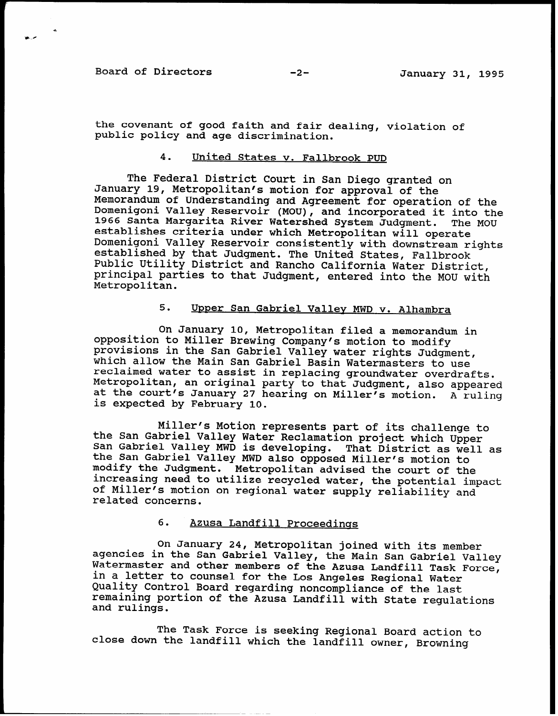Board of Directors -2- January 31, 1995

the covenant of good faith and fair dealing, violation of public policy and age discrimination.

## 4. United States v. Fallbrook PUD

The Federal District Court in San Diego granted on January 19, Metropolitan's motion for approval of the Memorandum of Understanding and Agreement for operation of the Domenigoni Valley Reservoir (MOU), and incorporated it into the 1966 Santa Margarita River Watershed System Judgment. The MOU establishes criteria under which Metropolitan will operate Domenigoni Valley Reservoir consistently with downstream rights established by that Judgment. The United States, Fallbrook Public Utility District and Rancho California Water District, principal parties to that Judgment, entered into the MOU with Metropolitan.

## 5. Upper San Gabriel Valley MWD v. Alhambra

On January 10, Metropolitan filed a memorandum in opposition to Miller Brewing Company's motion to modify provisions in the San Gabriel Valley water rights Judgment, which allow the Main San Gabriel Basin Watermasters to use reclaimed water to assist in replacing groundwater overdrafts. Metropolitan, an original party to that Judgment, also appeare at the court's January 27 hearing on Miller's motion. A ruling is expected by February 10.

Miller's Motion represents part of its challenge to the San Gabriel Valley Water Reclamation project which Upper San Gabriel Valley MWD is developing. That District as well as the San Gabriel Valley MWD also opposed Miller's motion to modify the Judgment. Metropolitan advised the court of the increasing need to utilize recycled water, the potential impact of Miller's motion on regional water supply reliability and related concerns.

#### 6. Azusa Landfill Proceedings

On January 24, Metropolitan joined with its member agencies in the San Gabriel Valley, the Main San Gabriel Valley Watermaster and other members of the Azusa Landfill Task Force in a letter to counsel for the Los Angeles Regional Water Quality Control Board regarding noncompliance of the last remaining portion of the Azusa Landfill with State regulations and rulings.

The Task Force is seeking Regional Board action to close down the landfill which the landfill owner, Browning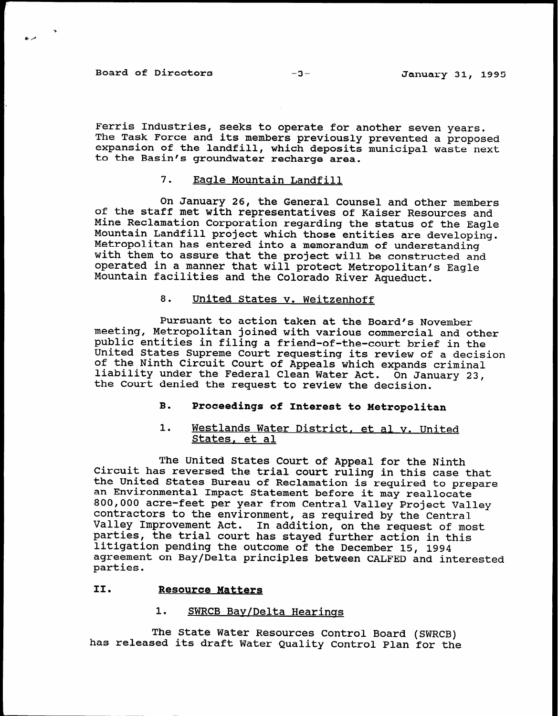Board of Directors -3-<br>
-3-<br>
January 31, 1995

Ferris Industries, seeks to operate for another seven years. The Task Force and its members previously prevented a propose expansion of the landfill, which deposits municipal waste next to the Basin's groundwater recharge area.

# 7. Eagle Mountain Landfill

On January 26, the General Counsel and other members of the staff met with representatives of Kaiser Resources and Mine Reclamation Corporation regarding the status of the Eagle Mountain Landfill project which those entities are developing. Metropolitan has entered into a memorandum of understanding with them to assure that the project will be constructed and operated in a manner that will protect Metropolitan's Eagle Mountain facilities and the Colorado River Aqueduct.

### 8. United States v. Weitzenhoff

Pursuant to action taken at the Board's November meeting, Metropolitan joined with various commercial and other public entities in filing a friend-of-the-court brief in the United States Supreme Court requesting its review of a decision of the Ninth Circuit Court of Appeals which expands criminal liability under the Federal Clean Water Act. On January 23, the Court denied the request to review the decision.

# B. Proceedings of Interest to Metropolitan

## 1. Westlands Water District, et al v. United States, et al

The United States Court of Appeal for the Ninth Circuit has reversed the trial court ruling in this case that the United States Bureau of Reclamation is required to prepare an Environmental Impact Statement before it may reallocate 800,000 acre-feet per year from Central Valley Project Valley contractors to the environment, as required by the Centra Valley Improvement Act. In addition, on the request of most parties, the trial court has stayed further action in this litigation pending the outcome of the December 15, 1994 agreement on Bay/Delta principles between CALFED and interested parties.

## II. Resource Matters

#### 1. SWRCB Bay/Delta Hearings

The State Water Resources Control Board (SWRCB) has released its draft Water Quality Control Plan for the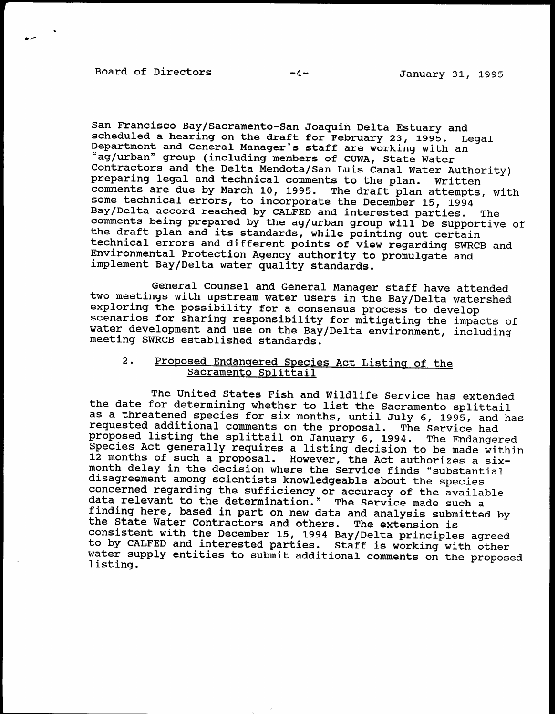Board of Directors -4- January 31, 1995

San Francisco Bay/Sacramento-San Joaquin Delta Estuary and scheduled a hearing on the draft for February 23, 1995. Legal Department and General Manager's staff are working with an "ag/urban" group (including members of CUWA, State Water Contractors and the Delta Mendota/San Luis Canal Water Authori preparing legal and technical comments to the plan. Written comments are due by March 10, 1995. The draft plan attempts, with some technical errors, to incorporate the December 15, 1994 Bay/Delta accord reached by CALFED and interested parties. The comments being prepared by the ag/urban group will be supportive of the draft plan and its standards, while pointing out certain technical errors and different points of view regarding SWRCB and Environmental Protection Agency authority to promulgate and implement Bay/Delta water quality standards.

General Counsel and General Manager staff have attended two meetings with upstream water users in the Bay/Delta watershed exploring the possibility for a consensus process to develop scenarios for sharing responsibility for mitigating the impacts of water development and use on the Bay/Delta environment, including meeting SWRCB established standards.

## 2. Proposed Endangered Species Act Listing of the Sacramento Splittail

The United States Fish and Wildlife Service has extended the date for determining whether to list the Sacramento splittail as a threatened species for six months, until July 6, 1995, and has requested additional comments on the proposal. The Service had proposed listing the splittail on January 6, 1994. The Endangered Species Act generally requires a listing decision to be made within 12 months of such a proposal. However, the Act authorizes a sixmonth delay in the decision where the Service finds "substantial disagreement among scientists knowledgeable about the species concerned regarding the sufficiency or accuracy of the availab data relevant to the determination." The Service made such a finding here, based in part on new data and analysis submitted by the State Water Contractors and others. The extension is consistent with the December 15, 1994 Bay/Delta principles agreed to by CALFED and interested parties. Staff is working with other water supply entities to submit additional comments on the proposed listing.